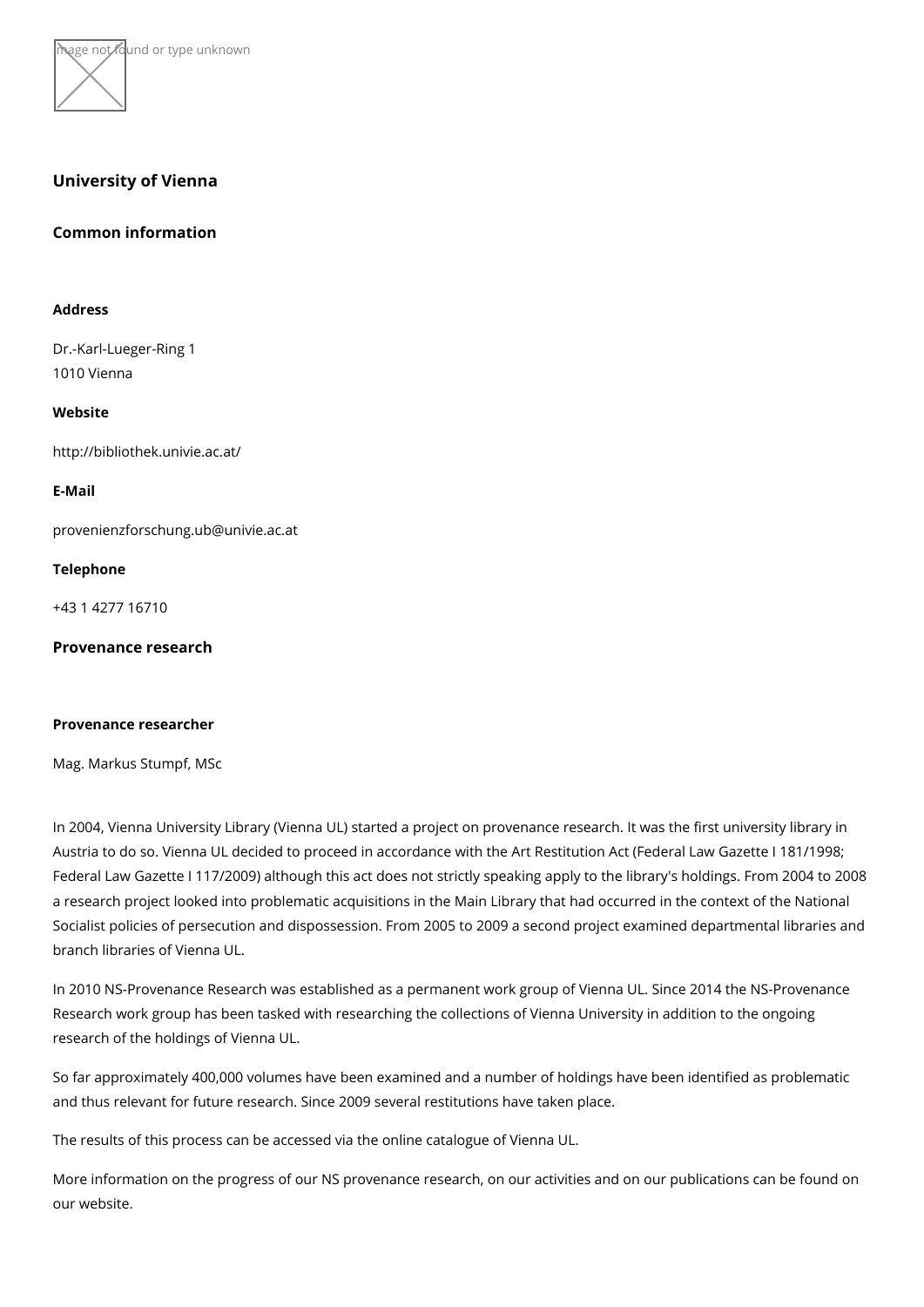

## University of Vienna

Common information

Address

Dr.-Karl-Lueger-Ring 1 1010 Vienna

Website

[http://bibliothek.un](http://bibliothek.univie.ac.at/)ivie.ac.at/

E-Mail

[provenienzforschung.ub@](mailto:provenienzforschung.ub@univie.ac.at)univie.ac.at

Telephone

+43 1 4277 16710

Provenance research

Provenance researcher

Mag. Markus Stumpf, MSc

In 2004, Vienna University Library (Vienna UL) started a project on provenance researd Austria to do so. Vienna UL decided to proceed in accordance with the Art Restitution. Federal Law Gazette I 117/2009) although this act does not strictly speaking apply to t a research project looked into problematic acquisitions in the Main Library that had oc Socialist policies of persecution and dispossession. From 2005 to 2009 a second proje branch libraries of Vienna UL.

In 2010 NS-Provenance Research was established as a permanent work group of Vienna Research work group has been tasked with researching the collections of Vienna Unive research of the holdings of Vienna UL.

So far approximately 400,000 volumes have been examined and a number of holdings have and thus relevant for future research. Since 2009 several restitutions have taken place.

The results of this process can be accessabed queta Vibencan UL.

More information on the progress of our NS provenance research, on our activities and ou[r webs](http://bibliothek.univie.ac.at/provenance_research.html)ite